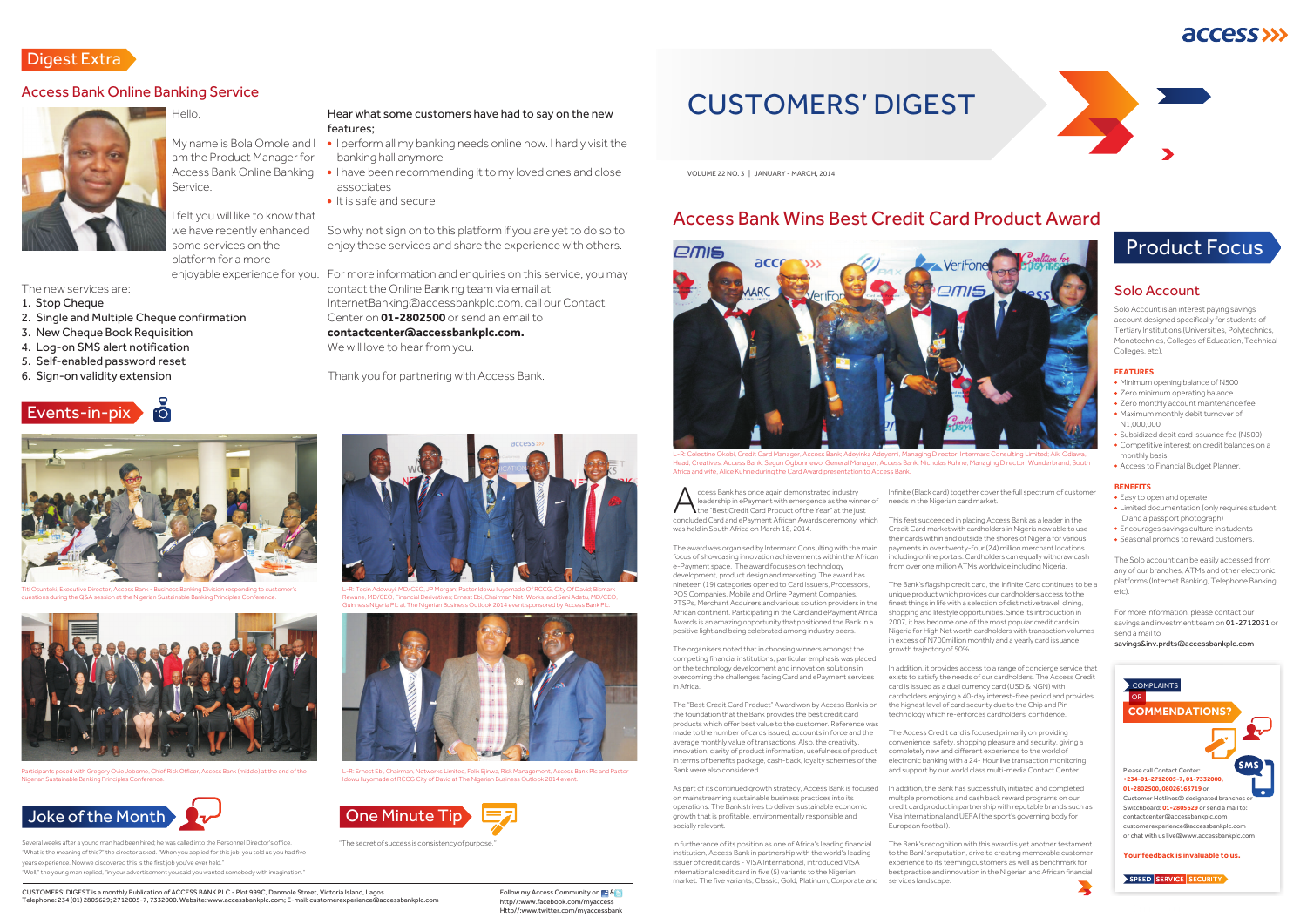ccess Bank has once again demonstrated industry<br>
the "Best Credit Card Product of the Year" at the just<br>
concluded Card and ePayment African Awards ceremony which concluded Card and ePayment African Awards ceremony, which was held in South Africa on March 18, 2014.

The award was organised by Intermarc Consulting with the main focus of showcasing innovation achievements within the African e-Payment space. The award focuses on technology development, product design and marketing. The award has nineteen (19) categories opened to Card Issuers, Processors, POS Companies, Mobile and Online Payment Companies, PTSPs, Merchant Acquirers and various solution providers in the African continent. Participating in the Card and ePayment Africa Awards is an amazing opportunity that positioned the Bank in a positive light and being celebrated among industry peers.

In furtherance of its position as one of Africa's leading financial institution, Access Bank in partnership with the world's leading issuer of credit cards - VISA International, introduced VISA International credit card in five (5) variants to the Nigerian market. The five variants: Classic, Gold, Platinum, Corporate and

The organisers noted that in choosing winners amongst the competing financial institutions, particular emphasis was placed on the technology development and innovation solutions in overcoming the challenges facing Card and ePayment services in Africa.

The "Best Credit Card Product" Award won by Access Bank is on the foundation that the Bank provides the best credit card products which offer best value to the customer. Reference was made to the number of cards issued, accounts in force and the average monthly value of transactions. Also, the creativity, innovation, clarity of product information, usefulness of product in terms of benefits package, cash-back, loyalty schemes of the Bank were also considered.

As part of its continued growth strategy, Access Bank is focused on mainstreaming sustainable business practices into its operations. The Bank strives to deliver sustainable economic growth that is profitable, environmentally responsible and socially relevant.

Infinite (Black card) together cover the full spectrum of customer needs in the Nigerian card market.

# access >>>





This feat succeeded in placing Access Bank as a leader in the Credit Card market with cardholders in Nigeria now able to use their cards within and outside the shores of Nigeria for various payments in over twenty-four (24) million merchant locations including online portals. Cardholders can equally withdraw cash from over one million ATMs worldwide including Nigeria.

The Bank's flagship credit card, the Infinite Card continues to be a unique product which provides our cardholders access to the finest things in life with a selection of distinctive travel, dining, shopping and lifestyle opportunities. Since its introduction in 2007, it has become one of the most popular credit cards in Nigeria for High Net worth cardholders with transaction volumes in excess of N700million monthly and a yearly card issuance growth trajectory of 50%.

- I perform all my banking needs online now. I hardly visit the banking hall anymore
- I have been recommending it to my loved ones and close associates
- $\bullet$  It is safe and secure

In addition, it provides access to a range of concierge service that exists to satisfy the needs of our cardholders. The Access Credit card is issued as a dual currency card (USD & NGN) with cardholders enjoying a 40-day interest-free period and provides the highest level of card security due to the Chip and Pin technology which re-enforces cardholders' confidence.

The Access Credit card is focused primarily on providing convenience, safety, shopping pleasure and security, giving a completely new and different experience to the world of electronic banking with a 24- Hour live transaction monitoring and support by our world class multi-media Contact Center.

Solo Account is an interest paying savings account designed specifically for students of Tertiary Institutions (Universities, Polytechnics, Monotechnics, Colleges of Education, Technical Colleges, etc).

In addition, the Bank has successfully initiated and completed multiple promotions and cash back reward programs on our credit card product in partnership with reputable brands such as Visa International and UEFA (the sport's governing body for European football).

- Easy to open and operate
- Limited documentation (only requires student ID and a passport photograph)
- Encourages savings culture in students
- Seasonal promos to reward customers.

The Bank's recognition with this award is yet another testament to the Bank's reputation, drive to creating memorable customer experience to its teeming customers as well as benchmark for best practise and innovation in the Nigerian and African financial services landscape.

VOLUME 22 NO. 3 | JANUARY - MARCH, 2014

# Access Bank Wins Best Credit Card Product Award

CUSTOMERS' DIGEST

Several weeks after a young man had been hired; he was called into the Personnel Director's office. "The secret of success is consistency of purpose." "What is the meaning of this?" the director asked. "When you applied for this job, you told us you had five years experience. Now we discovered this is the first job you've ever held." "Well," the young man replied, "in your advertisement you said you wanted somebody with imagination."

## Hello,

My name is Bola Omole and I am the Product Manager for Access Bank Online Banking Service.

I felt you will like to know that we have recently enhanced some services on the platform for a more

The new services are: 1. Stop Cheque

2. Single and Multiple Cheque confirmation

3. New Cheque Book Requisition 4. Log-on SMS alert notification 5. Self-enabled password reset 6. Sign-on validity extension



## Digest Extra

### Access Bank Online Banking Service

### Hear what some customers have had to say on the new features;

enjoyable experience for you. For more information and enquiries on this service, you may contact the Online Banking team via email at InternetBanking@accessbankplc.com, call our Contact Center on **01-2802500** or send an email to **contactcenter@accessbankplc.com.** We will love to hear from you.

So why not sign on to this platform if you are yet to do so to enjoy these services and share the experience with others.

Thank you for partnering with Access Bank.



rò

ive Director, Access Bank - Business Banking Division responding to customer' **D&A session at the Nigerian Sustainable Banking Principles Conference**.



Participants posed with Gregory Ovie Jobome, Chief Risk Officer, Access Bank (middle) at the end of the inable Banking Principles Con



L-R: Tosin Adewuyi, MD/CEO, JP Morgan; Pastor Idowu Iluyomade Of RCCG, City Of David; Bismark Rewane, MD/CEO, Financial Derivatives; Ernest Ebi, Chairman Net-Works, and Seni Adetu, MD/CEO, Guinness Nigeria Plc at The Nigerian Business Outlook 2014 event sponsored by Access Bank Plc.



L-R: Ernest Ebi, Chairman, Networks Limited, Felix Ejinwa, Risk Management, Access Bank Plc and Pastor Idowu Iluyomade of RCCG City of David at The Nigerian Business Outlook 2014 event.





L-R: Celestine Okobi, Credit Card Manager, Access Bank; Adeyinka Adeyemi, Managing Director, Intermarc Consulting Limited; Aiki Odiawa, Head, Creatives, Access Bank; Segun Ogbonnewo, General Manager, Access Bank; Nicholas Kuhne, Managing Director, Wunderbrand, South Africa and wife, Alice Kuhne during the Card Award presentation to Access Bank.



Events-in-pix

### Solo Account

# Product Focus

- Minimum opening balance of N500
- Zero minimum operating balance
- Zero monthly account maintenance fee Maximum monthly debit turnover of N1,000,000
- Subsidized debit card issuance fee (N500)
- Competitive interest on credit balances on a monthly basis
- Access to Financial Budget Planner.

The Solo account can be easily accessed from any of our branches, ATMs and other electronic platforms (Internet Banking, Telephone Banking, etc).

For more information, please contact our savings and investment team on 01-2712031 or send a mail to

#### savings&inv.prdts@accessbankplc.com

#### **FEATURES**

#### **BENEFITS**